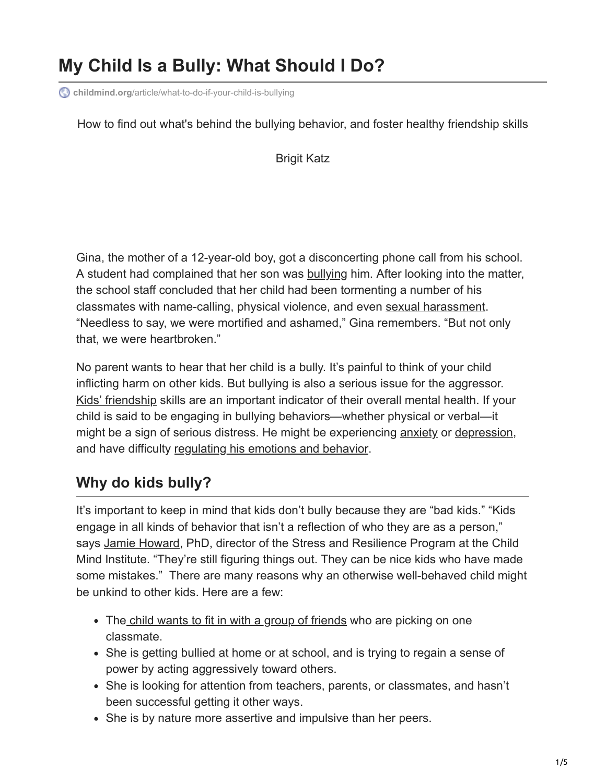# **My Child Is a Bully: What Should I Do?**

**childmind.org**[/article/what-to-do-if-your-child-is-bullying](https://childmind.org/article/what-to-do-if-your-child-is-bullying/)

How to find out what's behind the bullying behavior, and foster healthy friendship skills

Brigit Katz

Gina, the mother of a 12-year-old boy, got a disconcerting phone call from his school. A student had complained that her son was [bullying](https://childmind.org/topics/concerns/bullying/) him. After looking into the matter, the school staff concluded that her child had been tormenting a number of his classmates with name-calling, physical violence, and even [sexual harassment](https://childmind.org/blog/talk-children-sexual-harassment/). "Needless to say, we were mortified and ashamed," Gina remembers. "But not only that, we were heartbroken."

No parent wants to hear that her child is a bully. It's painful to think of your child inflicting harm on other kids. But bullying is also a serious issue for the aggressor. [Kids' friendship](https://childmind.org/article/kids-who-need-a-little-help-to-make-friends/) skills are an important indicator of their overall mental health. If your child is said to be engaging in bullying behaviors—whether physical or verbal—it might be a sign of serious distress. He might be experiencing [anxiety](https://childmind.org/guide/anxiety-basics/) or [depression](https://childmind.org/topics/concerns/depression/), and have difficulty [regulating his emotions and behavior](https://childmind.org/article/can-help-kids-self-regulation/).

#### **Why do kids bully?**

It's important to keep in mind that kids don't bully because they are "bad kids." "Kids engage in all kinds of behavior that isn't a reflection of who they are as a person," says [Jamie Howard,](https://childmind.org/bio/jamie-howard-phd/) PhD, director of the Stress and Resilience Program at the Child Mind Institute. "They're still figuring things out. They can be nice kids who have made some mistakes." There are many reasons why an otherwise well-behaved child might be unkind to other kids. Here are a few:

- The [child wants to fit in with a group of friends](https://childmind.org/article/kids-who-need-a-little-help-to-make-friends/) who are picking on one classmate.
- [She is getting bullied at home or at school,](https://childmind.org/article/how-to-know-if-your-child-is-being-bullied/) and is trying to regain a sense of power by acting aggressively toward others.
- She is looking for attention from teachers, parents, or classmates, and hasn't been successful getting it other ways.
- She is by nature more assertive and impulsive than her peers.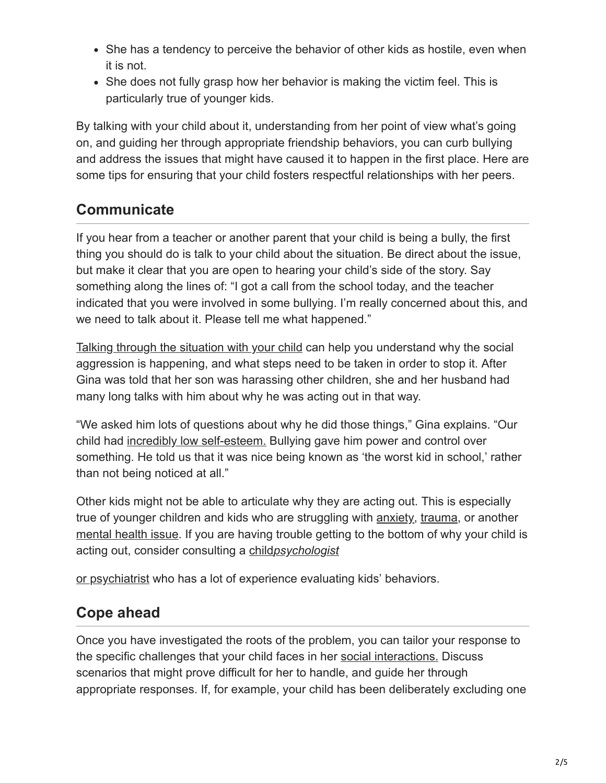- She has a tendency to perceive the behavior of other kids as hostile, even when it is not.
- She does not fully grasp how her behavior is making the victim feel. This is particularly true of younger kids.

By talking with your child about it, understanding from her point of view what's going on, and guiding her through appropriate friendship behaviors, you can curb bullying and address the issues that might have caused it to happen in the first place. Here are some tips for ensuring that your child fosters respectful relationships with her peers.

## **Communicate**

If you hear from a teacher or another parent that your child is being a bully, the first thing you should do is talk to your child about the situation. Be direct about the issue, but make it clear that you are open to hearing your child's side of the story. Say something along the lines of: "I got a call from the school today, and the teacher indicated that you were involved in some bullying. I'm really concerned about this, and we need to talk about it. Please tell me what happened."

[Talking through the situation with your child](https://childmind.org/article/tips-communicating-with-teen/) can help you understand why the social aggression is happening, and what steps need to be taken in order to stop it. After Gina was told that her son was harassing other children, she and her husband had many long talks with him about why he was acting out in that way.

"We asked him lots of questions about why he did those things," Gina explains. "Our child had [incredibly low self-esteem.](https://childmind.org/topics/concerns/confidence-self-esteem/) Bullying gave him power and control over something. He told us that it was nice being known as 'the worst kid in school,' rather than not being noticed at all."

Other kids might not be able to articulate why they are acting out. This is especially true of younger children and kids who are struggling with [anxiety](https://childmind.org/guide/anxiety-basics/), [trauma,](https://childmind.org/topics/concerns/trauma-and-grief/) or another [mental health issue.](https://childmind.org/article/11-simple-signs-a-child-may-have-a-psychiatric-disorder/) If you are having trouble getting to the bottom of why your child is acting out, consider consulting a child*[psychologist](https://childmind.org/guide/guide-to-mental-health-specialists/)*

[or psychiatrist](https://childmind.org/guide/guide-to-mental-health-specialists/) who has a lot of experience evaluating kids' behaviors.

#### **Cope ahead**

Once you have investigated the roots of the problem, you can tailor your response to the specific challenges that your child faces in her [social interactions.](https://childmind.org/article/social-challenges-kids-learning-problems/) Discuss scenarios that might prove difficult for her to handle, and guide her through appropriate responses. If, for example, your child has been deliberately excluding one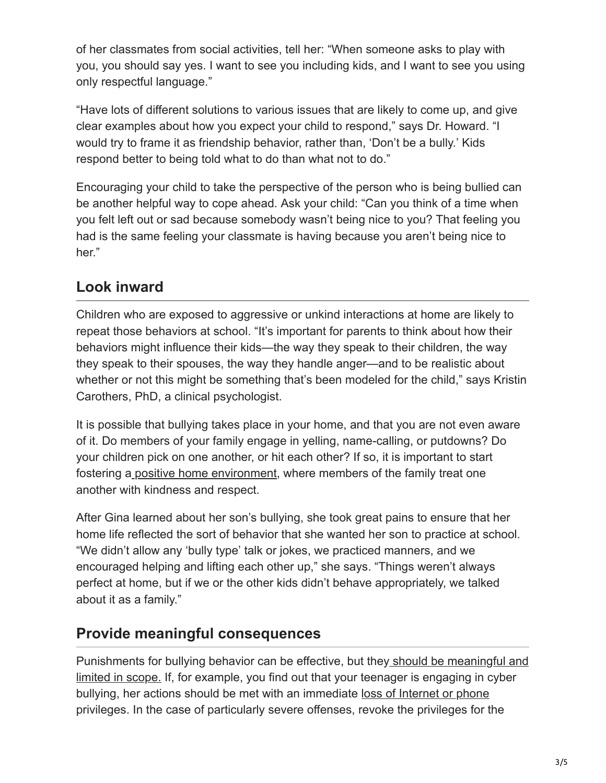of her classmates from social activities, tell her: "When someone asks to play with you, you should say yes. I want to see you including kids, and I want to see you using only respectful language."

"Have lots of different solutions to various issues that are likely to come up, and give clear examples about how you expect your child to respond," says Dr. Howard. "I would try to frame it as friendship behavior, rather than, 'Don't be a bully.' Kids respond better to being told what to do than what not to do."

Encouraging your child to take the perspective of the person who is being bullied can be another helpful way to cope ahead. Ask your child: "Can you think of a time when you felt left out or sad because somebody wasn't being nice to you? That feeling you had is the same feeling your classmate is having because you aren't being nice to her."

#### **Look inward**

Children who are exposed to aggressive or unkind interactions at home are likely to repeat those behaviors at school. "It's important for parents to think about how their behaviors might influence their kids—the way they speak to their children, the way they speak to their spouses, the way they handle anger—and to be realistic about whether or not this might be something that's been modeled for the child," says Kristin Carothers, PhD, a clinical psychologist.

It is possible that bullying takes place in your home, and that you are not even aware of it. Do members of your family engage in yelling, name-calling, or putdowns? Do your children pick on one another, or hit each other? If so, it is important to start fostering a [positive home environment,](https://childmind.org/article/three-common-parenting-traps/) where members of the family treat one another with kindness and respect.

After Gina learned about her son's bullying, she took great pains to ensure that her home life reflected the sort of behavior that she wanted her son to practice at school. "We didn't allow any 'bully type' talk or jokes, we practiced manners, and we encouraged helping and lifting each other up," she says. "Things weren't always perfect at home, but if we or the other kids didn't behave appropriately, we talked about it as a family."

#### **Provide meaningful consequences**

[Punishments for bullying behavior can be effective, but they should be meaningful and](https://childmind.org/ask-an-expert-qa/appropriate-consequences-bad-behavior/) limited in scope. If, for example, you find out that your teenager is engaging in cyber bullying, her actions should be met with an immediate [loss of Internet or phone](https://childmind.org/article/when-should-you-come-between-a-teenager-and-her-phone/) privileges. In the case of particularly severe offenses, revoke the privileges for the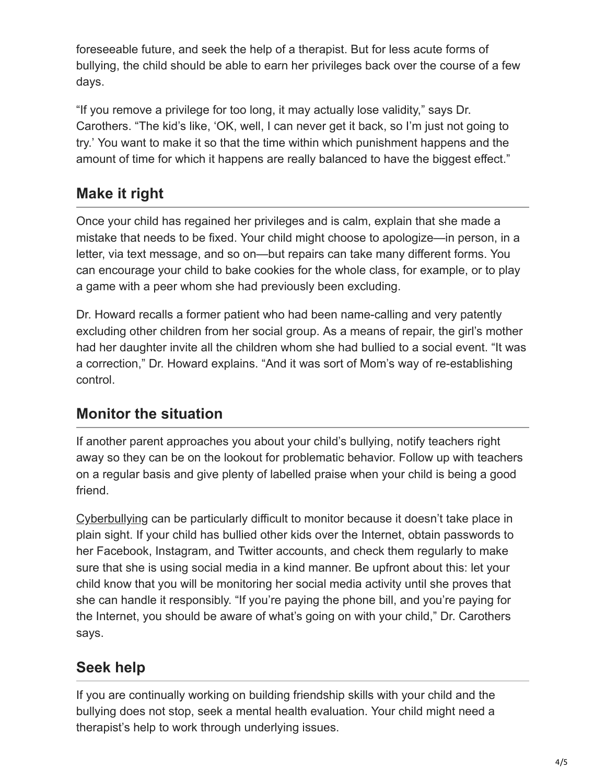foreseeable future, and seek the help of a therapist. But for less acute forms of bullying, the child should be able to earn her privileges back over the course of a few days.

"If you remove a privilege for too long, it may actually lose validity," says Dr. Carothers. "The kid's like, 'OK, well, I can never get it back, so I'm just not going to try.' You want to make it so that the time within which punishment happens and the amount of time for which it happens are really balanced to have the biggest effect."

### **Make it right**

Once your child has regained her privileges and is calm, explain that she made a mistake that needs to be fixed. Your child might choose to apologize—in person, in a letter, via text message, and so on—but repairs can take many different forms. You can encourage your child to bake cookies for the whole class, for example, or to play a game with a peer whom she had previously been excluding.

Dr. Howard recalls a former patient who had been name-calling and very patently excluding other children from her social group. As a means of repair, the girl's mother had her daughter invite all the children whom she had bullied to a social event. "It was a correction," Dr. Howard explains. "And it was sort of Mom's way of re-establishing control.

#### **Monitor the situation**

If another parent approaches you about your child's bullying, notify teachers right away so they can be on the lookout for problematic behavior. Follow up with teachers on a regular basis and give plenty of labelled praise when your child is being a good friend.

[Cyberbullying](https://childmind.org/article/help-kids-deal-cyberbullying/) can be particularly difficult to monitor because it doesn't take place in plain sight. If your child has bullied other kids over the Internet, obtain passwords to her Facebook, Instagram, and Twitter accounts, and check them regularly to make sure that she is using social media in a kind manner. Be upfront about this: let your child know that you will be monitoring her social media activity until she proves that she can handle it responsibly. "If you're paying the phone bill, and you're paying for the Internet, you should be aware of what's going on with your child," Dr. Carothers says.

# **Seek help**

If you are continually working on building friendship skills with your child and the bullying does not stop, seek a mental health evaluation. Your child might need a therapist's help to work through underlying issues.